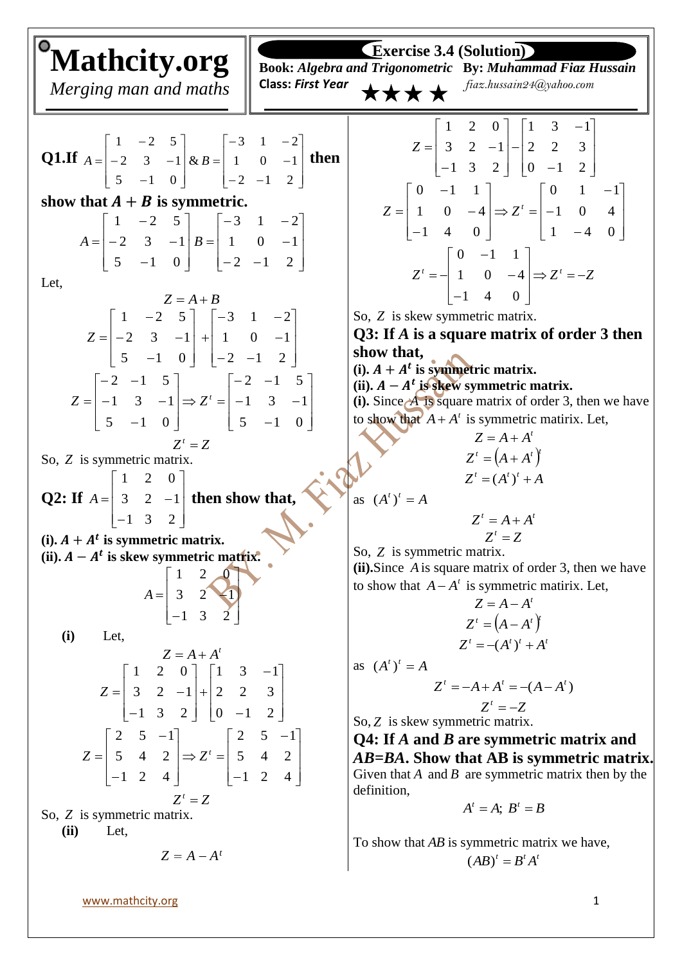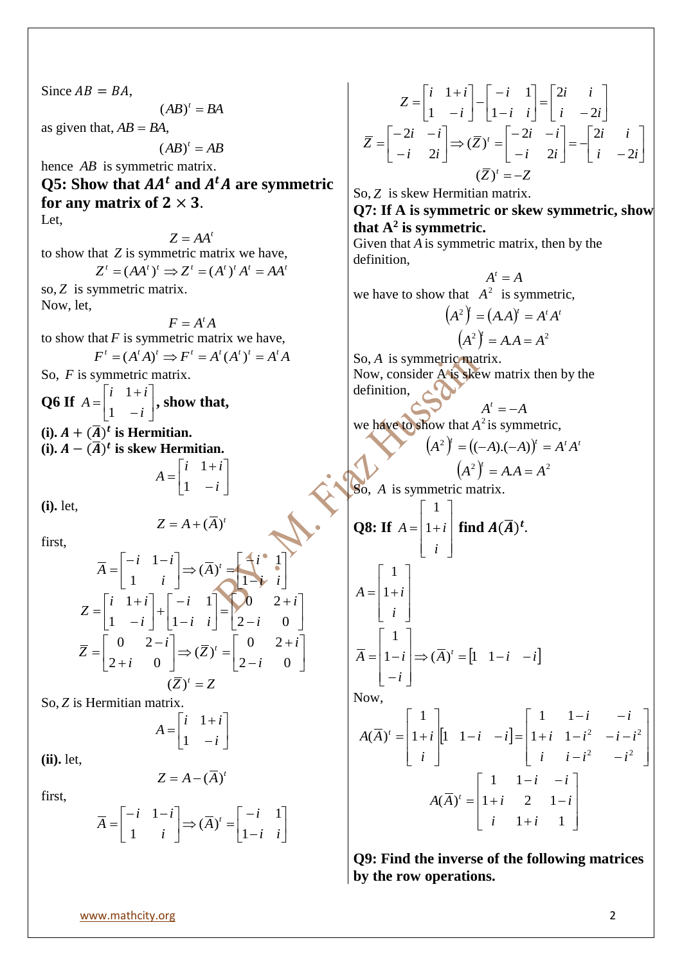Since  $AB = BA$ ,  $(AB)^t$  = BA as given that,  $AB = BA$ ,  $(AB)^t = AB$ hence *AB* is symmetric matrix. **Q5:** Show that  $AA<sup>t</sup>$  and  $A<sup>t</sup>A$  are symmetric for any matrix of  $2 \times 3$ . Let,  $Z = AA^t$ to show that *Z* is symmetric matrix we have,  $Z^{t} = (AA^{t})^{t} \implies Z^{t} = (A^{t})^{t} A^{t} = AA^{t}$ so, *Z* is symmetric matrix. Now, let,  $F = A^t A$ to show that  $F$  is symmetric matrix we have,  $F^t = (A^t A)^t \implies F^t = A^t (A^t)^t = A^t A$ So, *F* is symmetric matrix. **Q6 If**  $A = \begin{bmatrix} 1 & 1 & 1 \\ 1 & 1 & 1 \end{bmatrix}$  $\overline{\phantom{a}}$  $\overline{\phantom{a}}$  $\mathsf{L}$ L  $\mathbf{r}$  $\overline{a}$  $\ddot{}$  $=$ *i i i A* 1 1 **, show that,** (i).  $A + (\overline{A})^t$  is Hermitian. **(i).**  $A − (A)$ <sup>t</sup> is skew Hermitian.  $\overline{\phantom{a}}$  $\rfloor$  $\overline{\phantom{a}}$  $\mathbf{r}$ L  $\mathbf{r}$  $\overline{a}$  $^{+}$  $=$ *i i i A* 1 1 **(i).** let, *t*  $Z = A + (\overline{A})$ first,  $\overline{\phantom{a}}$  $\overline{\phantom{a}}$  $\overline{\phantom{a}}$ h L Į  $\Rightarrow (\overline{A})^t = \begin{cases} 1 \\ 1 \end{cases}$  $\overline{\phantom{a}}$  $\overline{\phantom{a}}$  $\mathsf{L}$ L  $=\begin{bmatrix} -i & 1 \ -i & 1 \end{bmatrix}$ *i i i A i i i*  $\overline{A} = \begin{vmatrix} 1 & 1 \\ 1 & 1 \end{vmatrix} \Rightarrow (\overline{A})^t$ 1 1  $(\overline{A})$ 1 1  $\overline{\phantom{a}}$  $\overline{\phantom{a}}$  $\overline{\phantom{a}}$ ľ L L - $^{+}$  $\vert$  =  $\rfloor$  $\cdot$  $\mathsf{L}$ L  $\mathsf{L}$ -- $|+$ J  $\overline{\phantom{a}}$  $\mathbf{r}$ L  $\overline{a}$  $\overline{a}$  $^{+}$  $=$  $2-i$  0 0 2 1 1 1 1 *i i i i i i i i Z*  $\overline{\phantom{a}}$  $\overline{\phantom{a}}$  $\overline{\phantom{a}}$  $\mathsf{I}$ L  $\mathbf{r}$ - $^{+}$  $\Rightarrow (\overline{Z})^t =$  $\rfloor$  $\overline{\phantom{a}}$  $\mathbf{r}$ L  $\overline{a}$  $\ddot{}$ - $=$  $2-i$  0 0 2  $(\overline{Z})$  $2+i$  0 0 2 *i i Z i i*  $\overline{Z}$  =  $\begin{bmatrix} 0 & 2 \\ 2 & 0 \end{bmatrix}$   $\Rightarrow$   $(\overline{Z})^t$  $(\overline{Z})^t = Z$ So, *Z* is Hermitian matrix.  $\overline{\phantom{a}}$ J  $\overline{\phantom{a}}$  $\mathbf{r}$ L  $\overline{ }$  $\overline{a}$  $\overline{+}$  $=$ *i i i A* 1 1 **(ii).** let,  $Z = A - (\overline{A})^t$ first,  $\overline{\phantom{a}}$  $\overline{\phantom{a}}$  $\overline{\phantom{a}}$  $\mathsf{I}$ L  $\mathsf{L}$  $\overrightarrow{A}$   $\Rightarrow$   $(\overline{A})^t = \begin{bmatrix} -i \\ 1 - i \end{bmatrix}$  $\overline{\phantom{a}}$  $\overline{\phantom{a}}$  $\mathsf{L}$ L  $=\begin{bmatrix} -i & 1 \end{bmatrix}$ *i i i A i i i*  $\overline{A} = \begin{vmatrix} 1 & 1 & t \\ 1 & 1 & t \end{vmatrix} \Rightarrow (\overline{A})^t$ 1 1  $(\overline{A})$ 1 1 J  $\frac{1}{2}$ J  $\mathsf{I}$ L  $\mathbf{r}$  $\begin{vmatrix} = & -i \\ i & -i \end{vmatrix}$  $\frac{1}{2}$  $\overline{\phantom{a}}$  $\mathsf{I}$ L  $\mathbf{r}$  $\overline{a}$  $\overline{a}$  $\vert$  $\overline{\phantom{a}}$  $\overline{\phantom{a}}$  $\mathsf{I}$ L  $\overline{\phantom{a}}$  $\overline{a}$  $\overline{+}$  $=$ *i i i i i i i i i i Z* 2 2 1 1 1 1 J.  $\overline{\phantom{a}}$   $\mathbf{I}$ L  $\mathbf{r}$  $\left|=-\right|_i$   $\left|-\right|_i$  $\overline{a}$ Ĭ,  $\mathsf{I}$  $\overline{\phantom{a}}$  $\mathsf{I}$  $\overrightarrow{z} = \begin{bmatrix} -2i & -i \\ -i & 2 \end{bmatrix}$  $\overline{a}$   $\mathsf{I}$ L  $\mathsf{I}$  $\overline{a}$  $-2i$  –  $=$  $i -2i$ *i i i i i i Z i i i i*  $\overline{Z}$  =  $\begin{vmatrix} 2i & i \\ i & 2 \end{vmatrix}$   $\Rightarrow$   $(\overline{Z})^i$ 2 2 2 2  $(\overline{Z})$ 2 2  $(\overline{Z})^t = -Z$ So, *Z* is skew Hermitian matrix. **Q7: If A is symmetric or skew symmetric, show that A<sup>2</sup> is symmetric.** Given that *A* is symmetric matrix, then by the definition,  $A^t = A$ we have to show that  $A^2$  is symmetric,  $(A^2)^t = (A.A)^t = A^t A^t$  $(A^2)^{\dagger} = A.A = A^2$ So, A is symmetric matrix. Now, consider A is skew matrix then by the definition,  $A^t = -A$ we have to show that  $A^2$  is symmetric,  $(A^2)^t = ((-A).(-A))^t = A^t A^t$  $(A^2)^t = A.A = A^2$ So, *A* is symmetric matrix. **Q8: If**   $\overline{\phantom{a}}$   $\mathsf{I}$  $\mathsf{I}$  $\mathsf{I}$ L  $\mathsf{L}$  $= |1 +$ *i*  $A = |1 + i$ 1 find  $A(\overline{A})^t$ .  $\overline{\phantom{a}}$   $\overline{\phantom{a}}$   $\mathsf{I}$  $\mathsf{I}$  $\mathsf{I}$ L  $\mathsf{I}$  $= |1 +$ *i*  $A = |1 + i$ 1  $\overline{A}$ )<sup>*t*</sup> =  $\begin{vmatrix} 1 & 1-i & -i \end{vmatrix}$ *i*  $\overline{A} = |1 - i| \Rightarrow (\overline{A})^t = [1 \quad 1 - i \quad -1]$ J  $\overline{\phantom{a}}$  $\overline{\phantom{a}}$  $\overline{\phantom{a}}$  $\overline{\phantom{a}}$  $\mathsf{I}$  $\mathsf{I}$  $\mathsf{I}$ L  $\mathsf{I}$  $\overline{a}$  $= |1-i| \Rightarrow (\overline{A})^t = |1 \quad 1$ 1 Now,  $\begin{vmatrix} 1 & 1-i & -i \end{vmatrix}$   $\overline{\phantom{a}}$   $\mathsf{I}$  $\mathbf{r}$  $\mathsf{I}$ L  $\mathsf{I}$  $-i^2$  –  $+i$   $1-i^2$   $-i$  $-i$  –  $-i$   $-i$   $=$   $\overline{\phantom{a}}$  $\overline{\phantom{a}}$   $\mathsf{I}$  $\mathsf{I}$  $\mathsf{I}$ L  $\mathsf{L}$  $= |1 +$ 2 2  $1+i$   $1-i^2$   $-i-i^2$ 1 1  $1 + i ||1 1$ 1  $(\overline{A})$  $i$   $i-i^2$   $-i$  $i \quad 1-i^2 \quad -i-i$ *i i i i i*  $A(\overline{A})^t = |1+i|$   $\overline{\phantom{a}}$  $\overline{\phantom{a}}$  $\overline{\phantom{a}}$  $\overline{\phantom{a}}$  $\mathsf{I}$  $\mathsf{L}$  $\mathsf{L}$ L  $\mathsf{I}$  $\overline{+}$  $+i$  2 1- $-i$  –  $=$  $1+i$  1  $1+i$  2 1 1 1  $(A)$ *i i*  $i \quad 2 \quad 1-i$ *i i*  $A(\overline{A})^t$ **Q9: Find the inverse of the following matrices by the row operations.**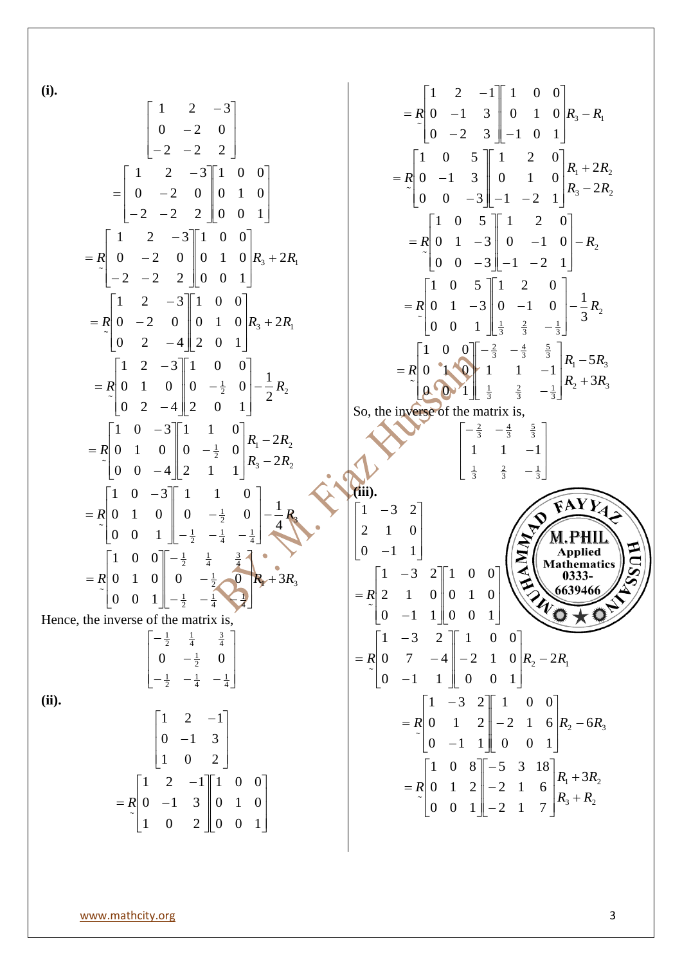**(i).**

(b)  
\n
$$
\begin{bmatrix}\n1 & 2 & -3 \\
0 & -2 & 0 \\
-2 & -2 & 2\n\end{bmatrix}
$$
\n
$$
=\begin{bmatrix}\n1 & 2 & -3 \\
0 & -2 & 0 \\
0 & -2 & 0 \\
-2 & -2 & 2\n\end{bmatrix}
$$
\n
$$
=\begin{bmatrix}\n1 & 2 & -3 \\
0 & -2 & 0 \\
-2 & -2 & 2\n\end{bmatrix}
$$
\n
$$
=\begin{bmatrix}\n1 & 0 & 0 \\
0 & -2 & 0 \\
-2 & -2 & 2\n\end{bmatrix}
$$
\n
$$
=\begin{bmatrix}\n1 & 0 & 0 \\
0 & -2 & 0 \\
-2 & -2 & 2\n\end{bmatrix}
$$
\n
$$
=\begin{bmatrix}\n1 & 0 & 0 \\
0 & -2 & 0 \\
-2 & -2 & 2\n\end{bmatrix}
$$
\n
$$
=\begin{bmatrix}\n1 & 0 & 0 \\
0 & 1 & 0 \\
0 & 2 & -4\n\end{bmatrix}
$$
\n
$$
R_1 + 2R_1
$$
\n
$$
=R_1 \begin{bmatrix}\n1 & 2 & -3 \\
0 & 1 & 0 \\
0 & 2 & -4\n\end{bmatrix}
$$
\n
$$
=R_1 \begin{bmatrix}\n1 & 2 & -3 \\
0 & 1 & 0 \\
0 & 2 & -4\n\end{bmatrix}
$$
\n
$$
=R_1 \begin{bmatrix}\n1 & 0 & 0 \\
0 & 1 & 0 \\
0 & 0 & -\frac{1}{2} \\
0 & 0 & 0\n\end{bmatrix}
$$
\n
$$
=R_1 \begin{bmatrix}\n1 & 0 & -3 \\
0 & 1 & 0 \\
0 & 0 & -\frac{1}{2} \\
0 & 0 & 0\n\end{bmatrix}
$$
\n
$$
=R_1 \begin{bmatrix}\n1 & 0 & -3 \\
0 & 1 & 0 \\
0 & 0 & -\frac{1}{2} \\
0 & 0 & 0\n\end{bmatrix}
$$
\n
$$
=R_1 \begin{bmatrix}\n1 & 0 & -3 \\
0 & 1 & 0 \\
0 & 0 & -\frac{1}{2} \\
0 & 0 & 0\n\end{bmatrix}
$$
\n
$$
=R_1 \begin{bmatrix}\n1 & 0 & -3 \\
0 & 1 & 0 \\
0 & 0 & -\frac{1}{2} \\
0 &
$$